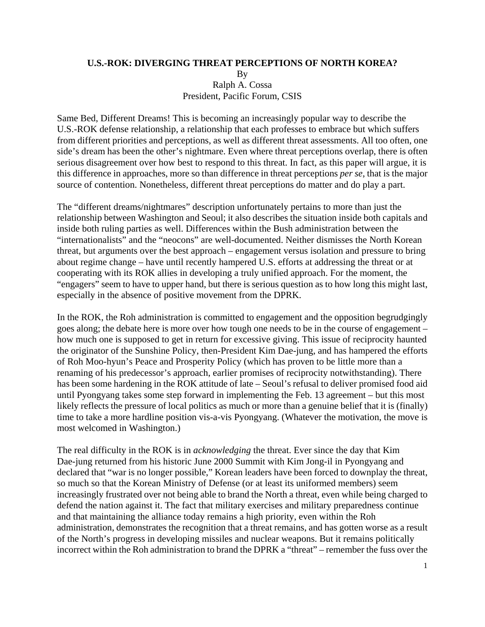## **U.S.-ROK: DIVERGING THREAT PERCEPTIONS OF NORTH KOREA?**

By Ralph A. Cossa President, Pacific Forum, CSIS

Same Bed, Different Dreams! This is becoming an increasingly popular way to describe the U.S.-ROK defense relationship, a relationship that each professes to embrace but which suffers from different priorities and perceptions, as well as different threat assessments. All too often, one side's dream has been the other's nightmare. Even where threat perceptions overlap, there is often serious disagreement over how best to respond to this threat. In fact, as this paper will argue, it is this difference in approaches, more so than difference in threat perceptions *per se*, that is the major source of contention. Nonetheless, different threat perceptions do matter and do play a part.

The "different dreams/nightmares" description unfortunately pertains to more than just the relationship between Washington and Seoul; it also describes the situation inside both capitals and inside both ruling parties as well. Differences within the Bush administration between the "internationalists" and the "neocons" are well-documented. Neither dismisses the North Korean threat, but arguments over the best approach – engagement versus isolation and pressure to bring about regime change – have until recently hampered U.S. efforts at addressing the threat or at cooperating with its ROK allies in developing a truly unified approach. For the moment, the "engagers" seem to have to upper hand, but there is serious question as to how long this might last, especially in the absence of positive movement from the DPRK.

In the ROK, the Roh administration is committed to engagement and the opposition begrudgingly goes along; the debate here is more over how tough one needs to be in the course of engagement – how much one is supposed to get in return for excessive giving. This issue of reciprocity haunted the originator of the Sunshine Policy, then-President Kim Dae-jung, and has hampered the efforts of Roh Moo-hyun's Peace and Prosperity Policy (which has proven to be little more than a renaming of his predecessor's approach, earlier promises of reciprocity notwithstanding). There has been some hardening in the ROK attitude of late – Seoul's refusal to deliver promised food aid until Pyongyang takes some step forward in implementing the Feb. 13 agreement – but this most likely reflects the pressure of local politics as much or more than a genuine belief that it is (finally) time to take a more hardline position vis-a-vis Pyongyang. (Whatever the motivation, the move is most welcomed in Washington.)

The real difficulty in the ROK is in *acknowledging* the threat. Ever since the day that Kim Dae-jung returned from his historic June 2000 Summit with Kim Jong-il in Pyongyang and declared that "war is no longer possible," Korean leaders have been forced to downplay the threat, so much so that the Korean Ministry of Defense (or at least its uniformed members) seem increasingly frustrated over not being able to brand the North a threat, even while being charged to defend the nation against it. The fact that military exercises and military preparedness continue and that maintaining the alliance today remains a high priority, even within the Roh administration, demonstrates the recognition that a threat remains, and has gotten worse as a result of the North's progress in developing missiles and nuclear weapons. But it remains politically incorrect within the Roh administration to brand the DPRK a "threat" – remember the fuss over the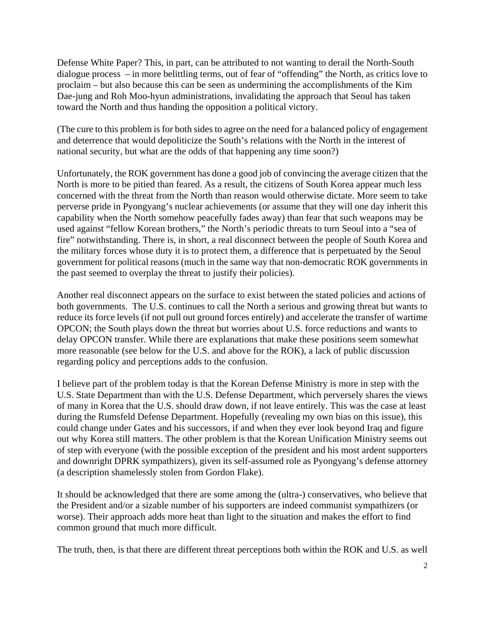Defense White Paper? This, in part, can be attributed to not wanting to derail the North-South dialogue process – in more belittling terms, out of fear of "offending" the North, as critics love to proclaim – but also because this can be seen as undermining the accomplishments of the Kim Dae-jung and Roh Moo-hyun administrations, invalidating the approach that Seoul has taken toward the North and thus handing the opposition a political victory.

(The cure to this problem is for both sides to agree on the need for a balanced policy of engagement and deterrence that would depoliticize the South's relations with the North in the interest of national security, but what are the odds of that happening any time soon?)

Unfortunately, the ROK government has done a good job of convincing the average citizen that the North is more to be pitied than feared. As a result, the citizens of South Korea appear much less concerned with the threat from the North than reason would otherwise dictate. More seem to take perverse pride in Pyongyang's nuclear achievements (or assume that they will one day inherit this capability when the North somehow peacefully fades away) than fear that such weapons may be used against "fellow Korean brothers," the North's periodic threats to turn Seoul into a "sea of fire" notwithstanding. There is, in short, a real disconnect between the people of South Korea and the military forces whose duty it is to protect them, a difference that is perpetuated by the Seoul government for political reasons (much in the same way that non-democratic ROK governments in the past seemed to overplay the threat to justify their policies).

Another real disconnect appears on the surface to exist between the stated policies and actions of both governments. The U.S. continues to call the North a serious and growing threat but wants to reduce its force levels (if not pull out ground forces entirely) and accelerate the transfer of wartime OPCON; the South plays down the threat but worries about U.S. force reductions and wants to delay OPCON transfer. While there are explanations that make these positions seem somewhat more reasonable (see below for the U.S. and above for the ROK), a lack of public discussion regarding policy and perceptions adds to the confusion.

I believe part of the problem today is that the Korean Defense Ministry is more in step with the U.S. State Department than with the U.S. Defense Department, which perversely shares the views of many in Korea that the U.S. should draw down, if not leave entirely. This was the case at least during the Rumsfeld Defense Department. Hopefully (revealing my own bias on this issue), this could change under Gates and his successors, if and when they ever look beyond Iraq and figure out why Korea still matters. The other problem is that the Korean Unification Ministry seems out of step with everyone (with the possible exception of the president and his most ardent supporters and downright DPRK sympathizers), given its self-assumed role as Pyongyang's defense attorney (a description shamelessly stolen from Gordon Flake).

It should be acknowledged that there are some among the (ultra-) conservatives, who believe that the President and/or a sizable number of his supporters are indeed communist sympathizers (or worse). Their approach adds more heat than light to the situation and makes the effort to find common ground that much more difficult.

The truth, then, is that there are different threat perceptions both within the ROK and U.S. as well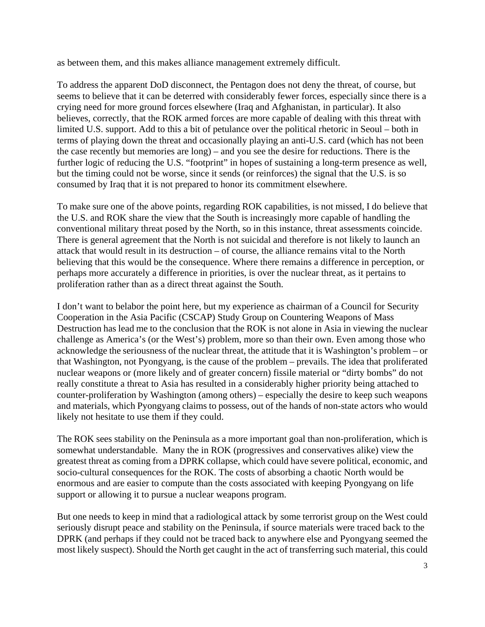as between them, and this makes alliance management extremely difficult.

To address the apparent DoD disconnect, the Pentagon does not deny the threat, of course, but seems to believe that it can be deterred with considerably fewer forces, especially since there is a crying need for more ground forces elsewhere (Iraq and Afghanistan, in particular). It also believes, correctly, that the ROK armed forces are more capable of dealing with this threat with limited U.S. support. Add to this a bit of petulance over the political rhetoric in Seoul – both in terms of playing down the threat and occasionally playing an anti-U.S. card (which has not been the case recently but memories are long) – and you see the desire for reductions. There is the further logic of reducing the U.S. "footprint" in hopes of sustaining a long-term presence as well, but the timing could not be worse, since it sends (or reinforces) the signal that the U.S. is so consumed by Iraq that it is not prepared to honor its commitment elsewhere.

To make sure one of the above points, regarding ROK capabilities, is not missed, I do believe that the U.S. and ROK share the view that the South is increasingly more capable of handling the conventional military threat posed by the North, so in this instance, threat assessments coincide. There is general agreement that the North is not suicidal and therefore is not likely to launch an attack that would result in its destruction – of course, the alliance remains vital to the North believing that this would be the consequence. Where there remains a difference in perception, or perhaps more accurately a difference in priorities, is over the nuclear threat, as it pertains to proliferation rather than as a direct threat against the South.

I don't want to belabor the point here, but my experience as chairman of a Council for Security Cooperation in the Asia Pacific (CSCAP) Study Group on Countering Weapons of Mass Destruction has lead me to the conclusion that the ROK is not alone in Asia in viewing the nuclear challenge as America's (or the West's) problem, more so than their own. Even among those who acknowledge the seriousness of the nuclear threat, the attitude that it is Washington's problem – or that Washington, not Pyongyang, is the cause of the problem – prevails. The idea that proliferated nuclear weapons or (more likely and of greater concern) fissile material or "dirty bombs" do not really constitute a threat to Asia has resulted in a considerably higher priority being attached to counter-proliferation by Washington (among others) – especially the desire to keep such weapons and materials, which Pyongyang claims to possess, out of the hands of non-state actors who would likely not hesitate to use them if they could.

The ROK sees stability on the Peninsula as a more important goal than non-proliferation, which is somewhat understandable. Many the in ROK (progressives and conservatives alike) view the greatest threat as coming from a DPRK collapse, which could have severe political, economic, and socio-cultural consequences for the ROK. The costs of absorbing a chaotic North would be enormous and are easier to compute than the costs associated with keeping Pyongyang on life support or allowing it to pursue a nuclear weapons program.

But one needs to keep in mind that a radiological attack by some terrorist group on the West could seriously disrupt peace and stability on the Peninsula, if source materials were traced back to the DPRK (and perhaps if they could not be traced back to anywhere else and Pyongyang seemed the most likely suspect). Should the North get caught in the act of transferring such material, this could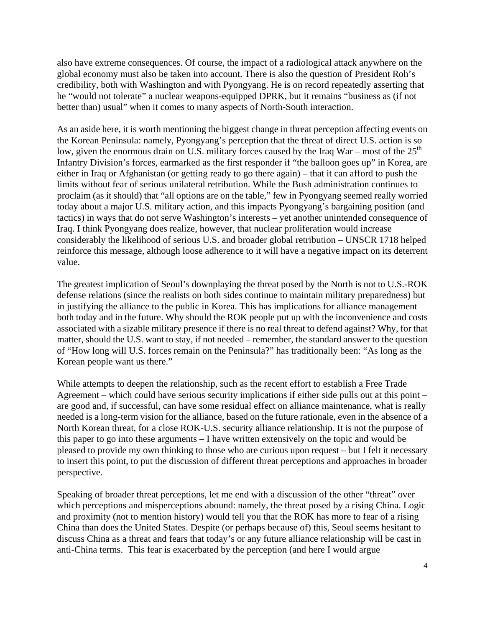also have extreme consequences. Of course, the impact of a radiological attack anywhere on the global economy must also be taken into account. There is also the question of President Roh's credibility, both with Washington and with Pyongyang. He is on record repeatedly asserting that he "would not tolerate" a nuclear weapons-equipped DPRK, but it remains "business as (if not better than) usual" when it comes to many aspects of North-South interaction.

As an aside here, it is worth mentioning the biggest change in threat perception affecting events on the Korean Peninsula: namely, Pyongyang's perception that the threat of direct U.S. action is so low, given the enormous drain on U.S. military forces caused by the Iraq War – most of the  $25<sup>th</sup>$ Infantry Division's forces, earmarked as the first responder if "the balloon goes up" in Korea, are either in Iraq or Afghanistan (or getting ready to go there again) – that it can afford to push the limits without fear of serious unilateral retribution. While the Bush administration continues to proclaim (as it should) that "all options are on the table," few in Pyongyang seemed really worried today about a major U.S. military action, and this impacts Pyongyang's bargaining position (and tactics) in ways that do not serve Washington's interests – yet another unintended consequence of Iraq. I think Pyongyang does realize, however, that nuclear proliferation would increase considerably the likelihood of serious U.S. and broader global retribution – UNSCR 1718 helped reinforce this message, although loose adherence to it will have a negative impact on its deterrent value.

The greatest implication of Seoul's downplaying the threat posed by the North is not to U.S.-ROK defense relations (since the realists on both sides continue to maintain military preparedness) but in justifying the alliance to the public in Korea. This has implications for alliance management both today and in the future. Why should the ROK people put up with the inconvenience and costs associated with a sizable military presence if there is no real threat to defend against? Why, for that matter, should the U.S. want to stay, if not needed – remember, the standard answer to the question of "How long will U.S. forces remain on the Peninsula?" has traditionally been: "As long as the Korean people want us there."

While attempts to deepen the relationship, such as the recent effort to establish a Free Trade Agreement – which could have serious security implications if either side pulls out at this point – are good and, if successful, can have some residual effect on alliance maintenance, what is really needed is a long-term vision for the alliance, based on the future rationale, even in the absence of a North Korean threat, for a close ROK-U.S. security alliance relationship. It is not the purpose of this paper to go into these arguments – I have written extensively on the topic and would be pleased to provide my own thinking to those who are curious upon request – but I felt it necessary to insert this point, to put the discussion of different threat perceptions and approaches in broader perspective.

Speaking of broader threat perceptions, let me end with a discussion of the other "threat" over which perceptions and misperceptions abound: namely, the threat posed by a rising China. Logic and proximity (not to mention history) would tell you that the ROK has more to fear of a rising China than does the United States. Despite (or perhaps because of) this, Seoul seems hesitant to discuss China as a threat and fears that today's or any future alliance relationship will be cast in anti-China terms. This fear is exacerbated by the perception (and here I would argue